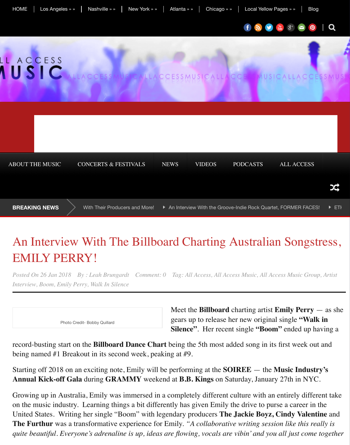**BREAKING NEWS** > With Their Producers and More! An Interview With the Groove-Indie Ro

# An Interview With The Billboard Charting Australian EMILY PERRY!

*Posted On 26 Jan 2018 By : Leah Brungardt Comment: 0 [Tag:](https://music.allaccess.com/news/) [All Access, All A](http://music.allaccess.com/category/videos/)[ccess Music, All A](https://music.allaccess.com/category/podcasts/)[ccess Music Group,](http://www.allaccess.com/) Artist [Interview, Boom, Emil](http://music.allaccess.com/category/interviews/)[y Perry, Walk In Silence](https://music.allaccess.com/category/concert-reviews/)*

Photo Credi[t- Bobby Quillard](https://music.allaccess.com/an-interview-with-the-bi-coastal-group-faulkner-on-new-music-working-with-their-producers-and-more/)

Meet the **Billboard** charting gears up to release her new **Silence"**. Her recent single

record-busting start on the **Billboard Dance Chart** being the 5th most added son being named #1 Breakout in its second week, peaking at #9.

[Starting off 2018 on an exciting note, Emily will be performing at the](https://music.allaccess.com/an-interview-with-the-billboard-charting-australian-songstress-emily-perry/) **SOIREE** Annual Kick-off Gala during GRAMMY weekend at B.B. Kings on Saturday,

Growing up in Australia, Emily was immersed in a completely different culture with an entirely different culture on the music industry. Learning things a bit differently has given Emily the drive United States. Writing her single "Boom" with legendary producers **The Jackie The Furthur** was a transformative experience for Emily. *"A collaborative writing serion like the session like the Furtherman metally is a like the this realistic writing the this realistic writing the Furtherman metally quite beautiful. Everyone's adrenaline is up, ideas are flowing, vocals are vibin' d*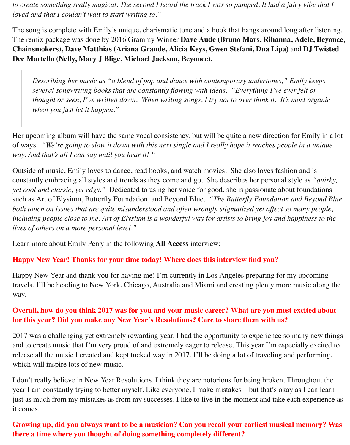*to create something really magical. The second I heard the track I was so pumped. It had a juicy vibe that I loved and that I couldn't wait to start writing to."*

The song is complete with Emily's unique, charismatic tone and a hook that hangs around long after listening. The remix package was done by 2016 Grammy Winner **Dave Aude (Bruno Mars, Rihanna, Adele, Beyonce, Chainsmokers), Dave Matthias (Ariana Grande, Alicia Keys, Gwen Stefani, Dua Lipa)** and **DJ Twisted Dee Martello (Nelly, Mary J Blige, Michael Jackson, Beyonce).**

*Describing her music as "a blend of pop and dance with contemporary undertones," Emily keeps several songwriting books that are constantly flowing with ideas. "Everything I've ever felt or thought or seen, I've written down. When writing songs, I try not to over think it. It's most organic when you just let it happen."*

Her upcoming album will have the same vocal consistency, but will be quite a new direction for Emily in a lot of ways. *"We're going to slow it down with this next single and I really hope it reaches people in a unique way. And that's all I can say until you hear it! "*

Outside of music, Emily loves to dance, read books, and watch movies. She also loves fashion and is constantly embracing all styles and trends as they come and go. She describes her personal style as *"quirky, yet cool and classic, yet edgy."* Dedicated to using her voice for good, she is passionate about foundations such as Art of Elysium, Butterfly Foundation, and Beyond Blue. *"The Butterfly Foundation and Beyond Blue both touch on issues that are quite misunderstood and often wrongly stigmatized yet affect so many people, including people close to me. Art of Elysium is a wonderful way for artists to bring joy and happiness to the lives of others on a more personal level."*

Learn more about Emily Perry in the following **All Access** interview:

#### **Happy New Year! Thanks for your time today! Where does this interview find you?**

Happy New Year and thank you for having me! I'm currently in Los Angeles preparing for my upcoming travels. I'll be heading to New York, Chicago, Australia and Miami and creating plenty more music along the way.

# **Overall, how do you think 2017 was for you and your music career? What are you most excited about for this year? Did you make any New Year's Resolutions? Care to share them with us?**

2017 was a challenging yet extremely rewarding year. I had the opportunity to experience so many new things and to create music that I'm very proud of and extremely eager to release. This year I'm especially excited to release all the music I created and kept tucked way in 2017. I'll be doing a lot of traveling and performing, which will inspire lots of new music.

I don't really believe in New Year Resolutions. I think they are notorious for being broken. Throughout the year I am constantly trying to better myself. Like everyone, I make mistakes – but that's okay as I can learn just as much from my mistakes as from my successes. I like to live in the moment and take each experience as it comes.

**Growing up, did you always want to be a musician? Can you recall your earliest musical memory? Was there a time where you thought of doing something completely different?**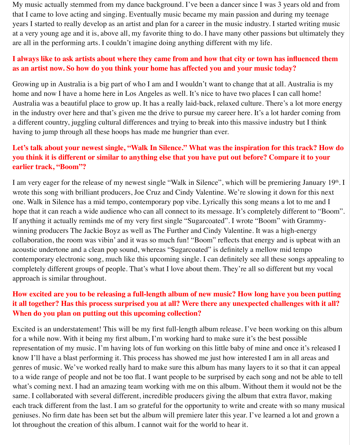My music actually stemmed from my dance background. I've been a dancer since I was 3 years old and from that I came to love acting and singing. Eventually music became my main passion and during my teenage years I started to really develop as an artist and plan for a career in the music industry. I started writing music at a very young age and it is, above all, my favorite thing to do. I have many other passions but ultimately they are all in the performing arts. I couldn't imagine doing anything different with my life.

# **I always like to ask artists about where they came from and how that city or town has influenced them as an artist now. So how do you think your home has affected you and your music today?**

Growing up in Australia is a big part of who I am and I wouldn't want to change that at all. Australia is my home and now I have a home here in Los Angeles as well. It's nice to have two places I can call home! Australia was a beautiful place to grow up. It has a really laid-back, relaxed culture. There's a lot more energy in the industry over here and that's given me the drive to pursue my career here. It's a lot harder coming from a different country, juggling cultural differences and trying to break into this massive industry but I think having to jump through all these hoops has made me hungrier than ever.

# **Let's talk about your newest single, "Walk In Silence." What was the inspiration for this track? How do you think it is different or similar to anything else that you have put out before? Compare it to your earlier track, "Boom"?**

I am very eager for the release of my newest single "Walk in Silence", which will be premiering January 19th. I wrote this song with brilliant producers, Joe Cruz and Cindy Valentine. We're slowing it down for this next one. Walk in Silence has a mid tempo, contemporary pop vibe. Lyrically this song means a lot to me and I hope that it can reach a wide audience who can all connect to its message. It's completely different to "Boom". If anything it actually reminds me of my very first single "Sugarcoated". I wrote "Boom" with Grammywinning producers The Jackie Boyz as well as The Further and Cindy Valentine. It was a high-energy collaboration, the room was vibin' and it was so much fun! "Boom" reflects that energy and is upbeat with an acoustic undertone and a clean pop sound, whereas "Sugarcoated" is definitely a mellow mid tempo contemporary electronic song, much like this upcoming single. I can definitely see all these songs appealing to completely different groups of people. That's what I love about them. They're all so different but my vocal approach is similar throughout.

# **How excited are you to be releasing a full-length album of new music? How long have you been putting it all together? Has this process surprised you at all? Were there any unexpected challenges with it all? When do you plan on putting out this upcoming collection?**

Excited is an understatement! This will be my first full-length album release. I've been working on this album for a while now. With it being my first album, I'm working hard to make sure it's the best possible representation of my music. I'm having lots of fun working on this little baby of mine and once it's released I know I'll have a blast performing it. This process has showed me just how interested I am in all areas and genres of music. We've worked really hard to make sure this album has many layers to it so that it can appeal to a wide range of people and not be too flat. I want people to be surprised by each song and not be able to tell what's coming next. I had an amazing team working with me on this album. Without them it would not be the same. I collaborated with several different, incredible producers giving the album that extra flavor, making each track different from the last. I am so grateful for the opportunity to write and create with so many musical geniuses. No firm date has been set but the album will premiere later this year. I've learned a lot and grown a lot throughout the creation of this album. I cannot wait for the world to hear it.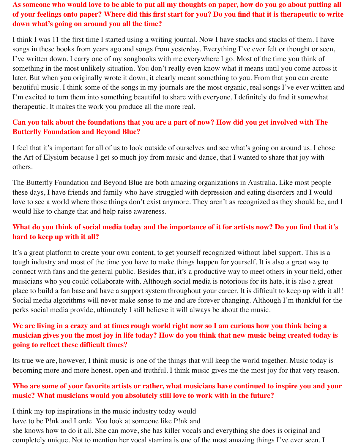# **As someone who would love to be able to put all my thoughts on paper, how do you go about putting all of your feelings onto paper? Where did this first start for you? Do you find that it is therapeutic to write down what's going on around you all the time?**

I think I was 11 the first time I started using a writing journal. Now I have stacks and stacks of them. I have songs in these books from years ago and songs from yesterday. Everything I've ever felt or thought or seen, I've written down. I carry one of my songbooks with me everywhere I go. Most of the time you think of something in the most unlikely situation. You don't really even know what it means until you come across it later. But when you originally wrote it down, it clearly meant something to you. From that you can create beautiful music. I think some of the songs in my journals are the most organic, real songs I've ever written and I'm excited to turn them into something beautiful to share with everyone. I definitely do find it somewhat therapeutic. It makes the work you produce all the more real.

# **Can you talk about the foundations that you are a part of now? How did you get involved with The Butterfly Foundation and Beyond Blue?**

I feel that it's important for all of us to look outside of ourselves and see what's going on around us. I chose the Art of Elysium because I get so much joy from music and dance, that I wanted to share that joy with others.

The Butterfly Foundation and Beyond Blue are both amazing organizations in Australia. Like most people these days, I have friends and family who have struggled with depression and eating disorders and I would love to see a world where those things don't exist anymore. They aren't as recognized as they should be, and I would like to change that and help raise awareness.

# **What do you think of social media today and the importance of it for artists now? Do you find that it's hard to keep up with it all?**

It's a great platform to create your own content, to get yourself recognized without label support. This is a tough industry and most of the time you have to make things happen for yourself. It is also a great way to connect with fans and the general public. Besides that, it's a productive way to meet others in your field, other musicians who you could collaborate with. Although social media is notorious for its hate, it is also a great place to build a fan base and have a support system throughout your career. It is difficult to keep up with it all! Social media algorithms will never make sense to me and are forever changing. Although I'm thankful for the perks social media provide, ultimately I still believe it will always be about the music.

# **We are living in a crazy and at times rough world right now so I am curious how you think being a musician gives you the most joy in life today? How do you think that new music being created today is going to reflect these difficult times?**

Its true we are, however, I think music is one of the things that will keep the world together. Music today is becoming more and more honest, open and truthful. I think music gives me the most joy for that very reason.

## **Who are some of your favorite artists or rather, what musicians have continued to inspire you and your music? What musicians would you absolutely still love to work with in the future?**

I think my top inspirations in the music industry today would have to be P!nk and Lorde. You look at someone like P!nk and she knows how to do it all. She can move, she has killer vocals and everything she does is original and completely unique. Not to mention her vocal stamina is one of the most amazing things I've ever seen. I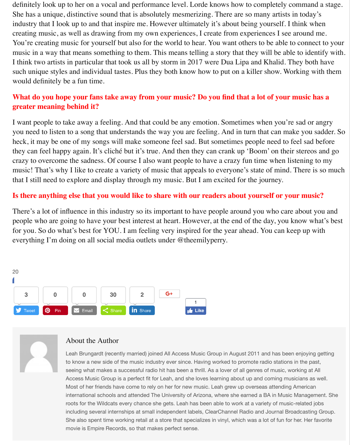definitely look up to her on a vocal and performance level. Lorde knows how to completely command a stage. She has a unique, distinctive sound that is absolutely mesmerizing. There are so many artists in today's industry that I look up to and that inspire me. However ultimately it's about being yourself. I think when creating music, as well as drawing from my own experiences, I create from experiences I see around me. You're creating music for yourself but also for the world to hear. You want others to be able to connect to your music in a way that means something to them. This means telling a story that they will be able to identify with. I think two artists in particular that took us all by storm in 2017 were Dua Lipa and Khalid. They both have such unique styles and individual tastes. Plus they both know how to put on a killer show. Working with them would definitely be a fun time.

## **What do you hope your fans take away from your music? Do you find that a lot of your music has a greater meaning behind it?**

I want people to take away a feeling. And that could be any emotion. Sometimes when you're sad or angry you need to listen to a song that understands the way you are feeling. And in turn that can make you sadder. So heck, it may be one of my songs will make someone feel sad. But sometimes people need to feel sad before they can feel happy again. It's cliché but it's true. And then they can crank up 'Boom' on their stereos and go crazy to overcome the sadness. Of course I also want people to have a crazy fun time when listening to my music! That's why I like to create a variety of music that appeals to everyone's state of mind. There is so much that I still need to explore and display through my music. But I am excited for the journey.

#### **Is there anything else that you would like to share with our readers about yourself or your music?**

There's a lot of influence in this industry so its important to have people around you who care about you and people who are going to have your best interest at heart. However, at the end of the day, you know what's best for you. So do what's best for YOU. I am feeling very inspired for the year ahead. You can keep up with everything I'm doing on all social media outlets under @theemilyperry.





#### About the Author

Leah Brungardt (recently married) joined All Access Music Group in August 2011 and has been enjoying getting to know a new side of the music industry ever since. Having worked to promote radio stations in the past, seeing what makes a successful radio hit has been a thrill. As a lover of all genres of music, working at All Access Music Group is a perfect fit for Leah, and she loves learning about up and coming musicians as well. Most of her friends have come to rely on her for new music. Leah grew up overseas attending American international schools and attended The University of Arizona, where she earned a BA in Music Management. She roots for the Wildcats every chance she gets. Leah has been able to work at a variety of music-related jobs including several internships at small independent labels, ClearChannel Radio and Journal Broadcasting Group. She also spent time working retail at a store that specializes in vinyl, which was a lot of fun for her. Her favorite movie is Empire Records, so that makes perfect sense.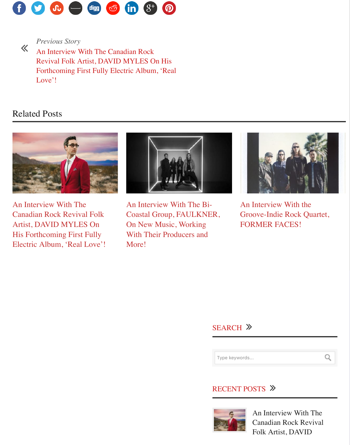# [Rela](http://www.facebook.com/share.php?u=https://music.allaccess.com/an-interview-with-the-billboard-charting-australian-songstress-emily-perry/)[ted P](http://twitter.com/share?url=https://music.allaccess.com/an-interview-with-the-billboard-charting-australian-songstress-emily-perry/)[osts](http://www.stumbleupon.com/submit?url=https://music.allaccess.com/an-interview-with-the-billboard-charting-australian-songstress-emily-perry/&title=An%20Interview%20With%20The%20Billboard%20Charting%20Australian%20Songstress,%20EMILY%20PERRY!)



An Interview With The Canadian Rock Revival Folk Artist, DAVID MYLES On His Forthcoming First Fully [Electric Album, 'Real Love'!](https://music.allaccess.com/an-interview-with-the-canadian-rock-revival-folk-artist-david-myles-on-his-forthcoming-first-fully-electric-album-real-love/)



An Interview With The Bi-Coastal Group, FAULKNER, On New Music, Working With Their Producers and [More!](https://music.allaccess.com/an-interview-with-the-bi-coastal-group-faulkner-on-new-music-working-with-their-producers-and-more/)



An I Groo FOR

# [SE](https://music.allaccess.com/an-interview-with-the-bi-coastal-group-faulkner-on-new-music-working-with-their-producers-and-more/)ARCH ≫

Type keywords...

#### **RECENT POS**

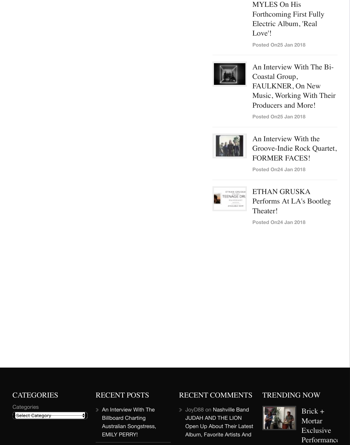**Posted On25 Jan 2018**

 $\overline{A}$ 

 $\mathbf{F}$ 

 $\mathbf F$ 

**Posted On24 Jan 2018**

 $\mathcal{L}$ 

 $\mathbf F$ 

**Posted On24 Jan 2018**

 $\mathcal{C}$ 





**CATEGORIES** 

**Categories** 

Select Category

#### RECENT POSTS

Đ

An Interview With The Billboard Charting Australian Songstress, EMILY PERRY!

#### RECENT COMMENTS

**JoyD88 on Nashville Band** JUDAH AND THE LION Open Up About Their Latest Album, Favorite Artists And